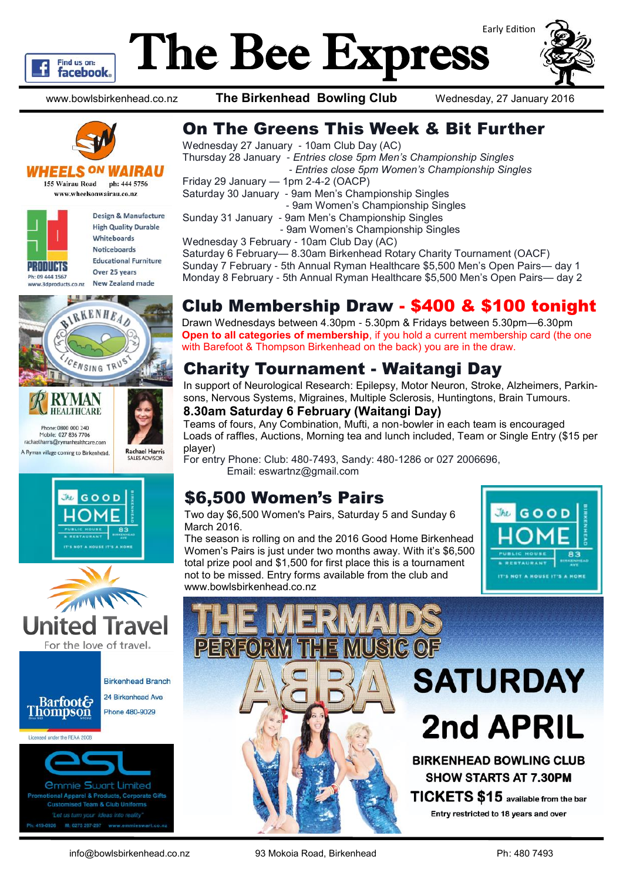

# The Bee Express



www.bowlsbirkenhead.co.nz **The Birkenhead Bowling Club** Wednesday, 27 January 2016



#### **VHEELS ON W**

155 Wairau Road ph: 444 5756 www.wheelsonwairau.co.nz

| <b>PRODUCTS</b><br>Ph: 09 444 1567<br>www.3dproducts.co.nz | Design & Manufacture         |
|------------------------------------------------------------|------------------------------|
|                                                            | <b>High Quality Durable</b>  |
|                                                            | Whiteboards                  |
|                                                            | <b>Noticeboards</b>          |
|                                                            | <b>Educational Furniture</b> |
|                                                            | Over 25 years                |
|                                                            | <b>New Zealand made</b>      |









# On The Greens This Week & Bit Further

Wednesday 27 January - 10am Club Day (AC) Thursday 28 January - *Entries close 5pm Men's Championship Singles - Entries close 5pm Women's Championship Singles* Friday 29 January — 1pm 2-4-2 (OACP) Saturday 30 January - 9am Men's Championship Singles - 9am Women's Championship Singles Sunday 31 January - 9am Men's Championship Singles - 9am Women's Championship Singles Wednesday 3 February - 10am Club Day (AC) Saturday 6 February— 8.30am Birkenhead Rotary Charity Tournament (OACF) Sunday 7 February - 5th Annual Ryman Healthcare \$5,500 Men's Open Pairs— day 1 Monday 8 February - 5th Annual Ryman Healthcare \$5,500 Men's Open Pairs— day 2

# Club Membership Draw - \$400 & \$100 tonight

Drawn Wednesdays between 4.30pm - 5.30pm & Fridays between 5.30pm—6.30pm **Open to all categories of membership**, if you hold a current membership card (the one with Barefoot & Thompson Birkenhead on the back) you are in the draw.

### Charity Tournament - Waitangi Day

In support of Neurological Research: Epilepsy, Motor Neuron, Stroke, Alzheimers, Parkinsons, Nervous Systems, Migraines, Multiple Sclerosis, Huntingtons, Brain Tumours.

### **8.30am Saturday 6 February (Waitangi Day)**

Teams of fours, Any Combination, Mufti, a non-bowler in each team is encouraged Loads of raffles, Auctions, Morning tea and lunch included, Team or Single Entry (\$15 per player)

For entry Phone: Club: 480-7493, Sandy: 480-1286 or 027 2006696, Email: eswartnz@gmail.com

### \$6,500 Women's Pairs

Two day \$6,500 Women's Pairs, Saturday 5 and Sunday 6 March 2016.

The season is rolling on and the 2016 Good Home Birkenhead Women's Pairs is just under two months away. With it's \$6,500 total prize pool and \$1,500 for first place this is a tournament not to be missed. Entry forms available from the club and www.bowlsbirkenhead.co.nz



# **SATURDAY 2nd APRIL BIRKENHEAD BOWLING CLUB**

**SHOW STARTS AT 7.30PM** TICKETS \$15 available from the bar Entry restricted to 18 years and over